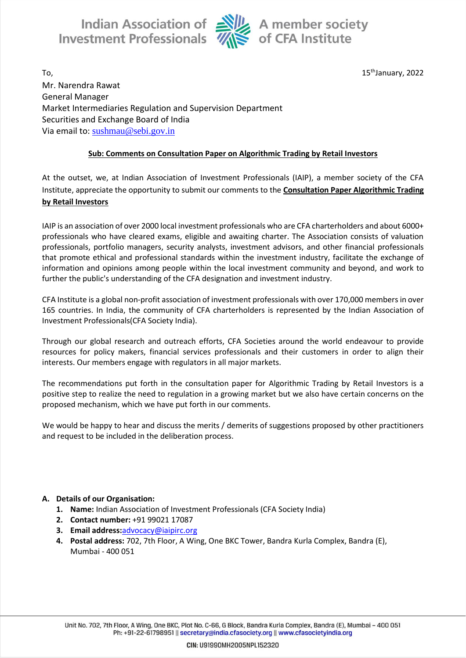

15<sup>th</sup>January, 2022

 $\Gamma$ o,  $\hskip10mm 15$ Mr. Narendra Rawat General Manager Market Intermediaries Regulation and Supervision Department Securities and Exchange Board of India Via email to: [sushmau@sebi.gov.in](mailto:sushmau@sebi.gov.in)

# **Sub: Comments on Consultation Paper on Algorithmic Trading by Retail Investors**

At the outset, we, at Indian Association of Investment Professionals (IAIP), a member society of the CFA Institute, appreciate the opportunity to submit our comments to the **Consultation Paper Algorithmic Trading by Retail Investors**

IAIP is an association of over 2000 local investment professionals who are CFA charterholders and about 6000+ professionals who have cleared exams, eligible and awaiting charter. The Association consists of valuation professionals, portfolio managers, security analysts, investment advisors, and other financial professionals that promote ethical and professional standards within the investment industry, facilitate the exchange of information and opinions among people within the local investment community and beyond, and work to further the public's understanding of the CFA designation and investment industry.

CFA Institute is a global non-profit association of investment professionals with over 170,000 members in over 165 countries. In India, the community of CFA charterholders is represented by the Indian Association of Investment Professionals(CFA Society India).

Through our global research and outreach efforts, CFA Societies around the world endeavour to provide resources for policy makers, financial services professionals and their customers in order to align their interests. Our members engage with regulators in all major markets.

The recommendations put forth in the consultation paper for Algorithmic Trading by Retail Investors is a positive step to realize the need to regulation in a growing market but we also have certain concerns on the proposed mechanism, which we have put forth in our comments.

We would be happy to hear and discuss the merits / demerits of suggestions proposed by other practitioners and request to be included in the deliberation process.

# **A. Details of our Organisation:**

- **1. Name:** Indian Association of Investment Professionals (CFA Society India)
- **2. Contact number:** +91 99021 17087
- **3. Email address:**[advocacy@iaipirc.org](mailto:advocacy@iaipirc.org)
- **4. Postal address:** 702, 7th Floor, A Wing, One BKC Tower, Bandra Kurla Complex, Bandra (E), Mumbai - 400 051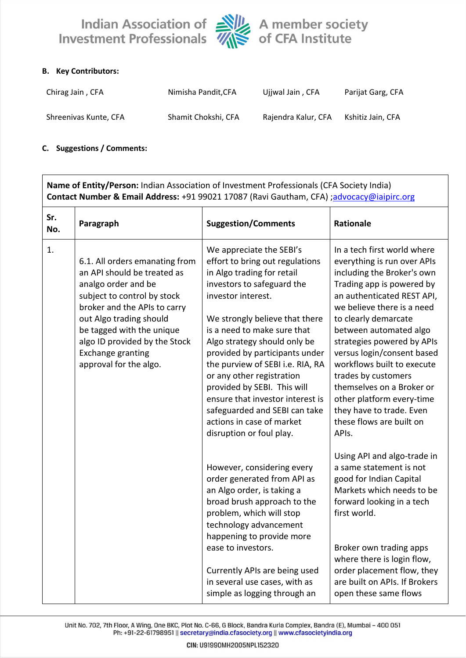

# **B. Key Contributors:**

| Chirag Jain, CFA      | Nimisha Pandit, CFA | Ujiwal Jain, CFA    | Parijat Garg, CFA |
|-----------------------|---------------------|---------------------|-------------------|
| Shreenivas Kunte, CFA | Shamit Chokshi, CFA | Rajendra Kalur, CFA | Kshitiz Jain, CFA |

### **C. Suggestions / Comments:**

| Name of Entity/Person: Indian Association of Investment Professionals (CFA Society India)<br>Contact Number & Email Address: +91 99021 17087 (Ravi Gautham, CFA) ;advocacy@iaipirc.org |                                                                                                                                                                                                                                                                                                    |                                                                                                                                                                                                                                                                                                                                                                                                                                                                                                                |                                                                                                                                                                                                                                                                                                                                                                                                                                                                                 |  |
|----------------------------------------------------------------------------------------------------------------------------------------------------------------------------------------|----------------------------------------------------------------------------------------------------------------------------------------------------------------------------------------------------------------------------------------------------------------------------------------------------|----------------------------------------------------------------------------------------------------------------------------------------------------------------------------------------------------------------------------------------------------------------------------------------------------------------------------------------------------------------------------------------------------------------------------------------------------------------------------------------------------------------|---------------------------------------------------------------------------------------------------------------------------------------------------------------------------------------------------------------------------------------------------------------------------------------------------------------------------------------------------------------------------------------------------------------------------------------------------------------------------------|--|
| Sr.<br>No.                                                                                                                                                                             | Paragraph                                                                                                                                                                                                                                                                                          | <b>Suggestion/Comments</b>                                                                                                                                                                                                                                                                                                                                                                                                                                                                                     | Rationale                                                                                                                                                                                                                                                                                                                                                                                                                                                                       |  |
| 1.                                                                                                                                                                                     | 6.1. All orders emanating from<br>an API should be treated as<br>analgo order and be<br>subject to control by stock<br>broker and the APIs to carry<br>out Algo trading should<br>be tagged with the unique<br>algo ID provided by the Stock<br><b>Exchange granting</b><br>approval for the algo. | We appreciate the SEBI's<br>effort to bring out regulations<br>in Algo trading for retail<br>investors to safeguard the<br>investor interest.<br>We strongly believe that there<br>is a need to make sure that<br>Algo strategy should only be<br>provided by participants under<br>the purview of SEBI i.e. RIA, RA<br>or any other registration<br>provided by SEBI. This will<br>ensure that investor interest is<br>safeguarded and SEBI can take<br>actions in case of market<br>disruption or foul play. | In a tech first world where<br>everything is run over APIs<br>including the Broker's own<br>Trading app is powered by<br>an authenticated REST API,<br>we believe there is a need<br>to clearly demarcate<br>between automated algo<br>strategies powered by APIs<br>versus login/consent based<br>workflows built to execute<br>trades by customers<br>themselves on a Broker or<br>other platform every-time<br>they have to trade. Even<br>these flows are built on<br>APIs. |  |
|                                                                                                                                                                                        |                                                                                                                                                                                                                                                                                                    | However, considering every<br>order generated from API as<br>an Algo order, is taking a<br>broad brush approach to the<br>problem, which will stop<br>technology advancement<br>happening to provide more<br>ease to investors.<br>Currently APIs are being used<br>in several use cases, with as<br>simple as logging through an                                                                                                                                                                              | Using API and algo-trade in<br>a same statement is not<br>good for Indian Capital<br>Markets which needs to be<br>forward looking in a tech<br>first world.<br>Broker own trading apps<br>where there is login flow,<br>order placement flow, they<br>are built on APIs. If Brokers<br>open these same flows                                                                                                                                                                    |  |

Unit No. 702, 7th Floor, A Wing, One BKC, Plot No. C-66, G Block, Bandra Kurla Complex, Bandra (E), Mumbai - 400 051 Ph: +91-22-61798951 || secretary@india.cfasociety.org || www.cfasocietyindia.org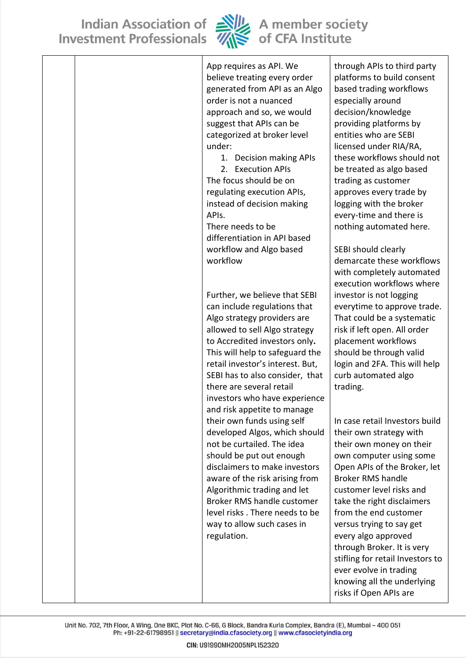

| App requires as API. We          | through APIs to third party      |
|----------------------------------|----------------------------------|
| believe treating every order     | platforms to build consent       |
| generated from API as an Algo    | based trading workflows          |
| order is not a nuanced           | especially around                |
| approach and so, we would        | decision/knowledge               |
| suggest that APIs can be         | providing platforms by           |
| categorized at broker level      | entities who are SEBI            |
| under:                           | licensed under RIA/RA,           |
| 1. Decision making APIs          | these workflows should not       |
| 2. Execution APIs                | be treated as algo based         |
| The focus should be on           | trading as customer              |
| regulating execution APIs,       | approves every trade by          |
| instead of decision making       | logging with the broker          |
| APIs.                            | every-time and there is          |
| There needs to be                | nothing automated here.          |
| differentiation in API based     |                                  |
| workflow and Algo based          | SEBI should clearly              |
| workflow                         | demarcate these workflows        |
|                                  | with completely automated        |
|                                  | execution workflows where        |
| Further, we believe that SEBI    | investor is not logging          |
| can include regulations that     | everytime to approve trade.      |
| Algo strategy providers are      | That could be a systematic       |
| allowed to sell Algo strategy    | risk if left open. All order     |
| to Accredited investors only.    | placement workflows              |
| This will help to safeguard the  | should be through valid          |
| retail investor's interest. But, | login and 2FA. This will help    |
| SEBI has to also consider, that  | curb automated algo              |
| there are several retail         | trading.                         |
| investors who have experience    |                                  |
| and risk appetite to manage      |                                  |
| their own funds using self       | In case retail Investors build   |
| developed Algos, which should    | their own strategy with          |
| not be curtailed. The idea       | their own money on their         |
| should be put out enough         | own computer using some          |
| disclaimers to make investors    | Open APIs of the Broker, let     |
| aware of the risk arising from   | <b>Broker RMS handle</b>         |
| Algorithmic trading and let      | customer level risks and         |
| Broker RMS handle customer       | take the right disclaimers       |
| level risks. There needs to be   | from the end customer            |
| way to allow such cases in       | versus trying to say get         |
| regulation.                      | every algo approved              |
|                                  | through Broker. It is very       |
|                                  | stifling for retail Investors to |
|                                  | ever evolve in trading           |
|                                  | knowing all the underlying       |
|                                  | risks if Open APIs are           |

Unit No. 702, 7th Floor, A Wing, One BKC, Plot No. C-66, G Block, Bandra Kurla Complex, Bandra (E), Mumbai - 400 051 Ph: +91-22-61798951 || secretary@india.cfasociety.org || www.cfasocietyindia.org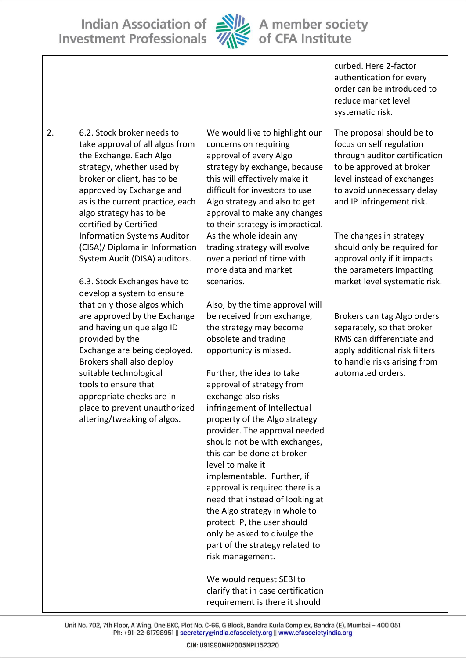

|    |                                                                                                                                                                                                                                                                           |                                                                                                                                                                                                                                                                                                                                                                                       | curbed. Here 2-factor<br>authentication for every<br>order can be introduced to<br>reduce market level<br>systematic risk.                                                                                  |
|----|---------------------------------------------------------------------------------------------------------------------------------------------------------------------------------------------------------------------------------------------------------------------------|---------------------------------------------------------------------------------------------------------------------------------------------------------------------------------------------------------------------------------------------------------------------------------------------------------------------------------------------------------------------------------------|-------------------------------------------------------------------------------------------------------------------------------------------------------------------------------------------------------------|
| 2. | 6.2. Stock broker needs to<br>take approval of all algos from<br>the Exchange. Each Algo<br>strategy, whether used by<br>broker or client, has to be<br>approved by Exchange and<br>as is the current practice, each<br>algo strategy has to be<br>certified by Certified | We would like to highlight our<br>concerns on requiring<br>approval of every Algo<br>strategy by exchange, because<br>this will effectively make it<br>difficult for investors to use<br>Algo strategy and also to get<br>approval to make any changes<br>to their strategy is impractical.                                                                                           | The proposal should be to<br>focus on self regulation<br>through auditor certification<br>to be approved at broker<br>level instead of exchanges<br>to avoid unnecessary delay<br>and IP infringement risk. |
|    | <b>Information Systems Auditor</b><br>(CISA)/ Diploma in Information<br>System Audit (DISA) auditors.<br>6.3. Stock Exchanges have to<br>develop a system to ensure                                                                                                       | As the whole ideain any<br>trading strategy will evolve<br>over a period of time with<br>more data and market<br>scenarios.                                                                                                                                                                                                                                                           | The changes in strategy<br>should only be required for<br>approval only if it impacts<br>the parameters impacting<br>market level systematic risk.                                                          |
|    | that only those algos which<br>are approved by the Exchange<br>and having unique algo ID<br>provided by the<br>Exchange are being deployed.<br>Brokers shall also deploy<br>suitable technological<br>tools to ensure that<br>appropriate checks are in                   | Also, by the time approval will<br>be received from exchange,<br>the strategy may become<br>obsolete and trading<br>opportunity is missed.<br>Further, the idea to take<br>approval of strategy from<br>exchange also risks                                                                                                                                                           | Brokers can tag Algo orders<br>separately, so that broker<br>RMS can differentiate and<br>apply additional risk filters<br>to handle risks arising from<br>automated orders.                                |
|    | place to prevent unauthorized<br>altering/tweaking of algos.                                                                                                                                                                                                              | infringement of Intellectual<br>property of the Algo strategy<br>provider. The approval needed<br>should not be with exchanges,<br>this can be done at broker<br>level to make it<br>implementable. Further, if<br>approval is required there is a<br>need that instead of looking at<br>the Algo strategy in whole to<br>protect IP, the user should<br>only be asked to divulge the |                                                                                                                                                                                                             |
|    |                                                                                                                                                                                                                                                                           | part of the strategy related to<br>risk management.<br>We would request SEBI to<br>clarify that in case certification<br>requirement is there it should                                                                                                                                                                                                                               |                                                                                                                                                                                                             |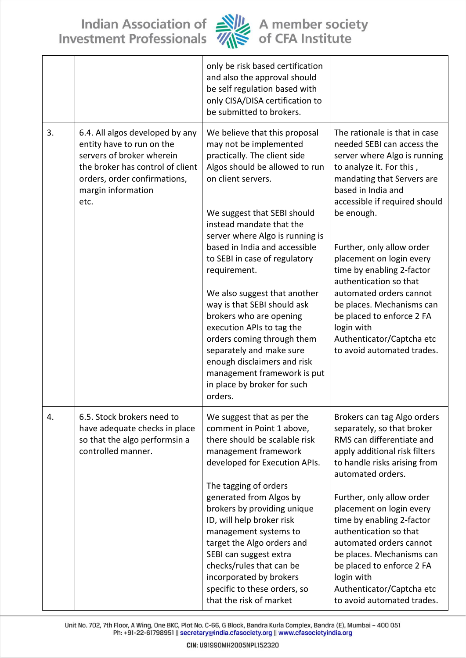

|    |                                                                                                                                                                                             | only be risk based certification<br>and also the approval should<br>be self regulation based with<br>only CISA/DISA certification to<br>be submitted to brokers.                                                                                                                                                                                                                                                                                       |                                                                                                                                                                                                                                                                                                                                                                                                                                               |
|----|---------------------------------------------------------------------------------------------------------------------------------------------------------------------------------------------|--------------------------------------------------------------------------------------------------------------------------------------------------------------------------------------------------------------------------------------------------------------------------------------------------------------------------------------------------------------------------------------------------------------------------------------------------------|-----------------------------------------------------------------------------------------------------------------------------------------------------------------------------------------------------------------------------------------------------------------------------------------------------------------------------------------------------------------------------------------------------------------------------------------------|
| 3. | 6.4. All algos developed by any<br>entity have to run on the<br>servers of broker wherein<br>the broker has control of client<br>orders, order confirmations,<br>margin information<br>etc. | We believe that this proposal<br>may not be implemented<br>practically. The client side<br>Algos should be allowed to run<br>on client servers.<br>We suggest that SEBI should<br>instead mandate that the<br>server where Algo is running is<br>based in India and accessible<br>to SEBI in case of regulatory<br>requirement.<br>We also suggest that another<br>way is that SEBI should ask<br>brokers who are opening<br>execution APIs to tag the | The rationale is that in case<br>needed SEBI can access the<br>server where Algo is running<br>to analyze it. For this,<br>mandating that Servers are<br>based in India and<br>accessible if required should<br>be enough.<br>Further, only allow order<br>placement on login every<br>time by enabling 2-factor<br>authentication so that<br>automated orders cannot<br>be places. Mechanisms can<br>be placed to enforce 2 FA<br>login with |
|    |                                                                                                                                                                                             | orders coming through them<br>separately and make sure<br>enough disclaimers and risk<br>management framework is put<br>in place by broker for such<br>orders.                                                                                                                                                                                                                                                                                         | Authenticator/Captcha etc<br>to avoid automated trades.                                                                                                                                                                                                                                                                                                                                                                                       |
| 4. | 6.5. Stock brokers need to<br>have adequate checks in place<br>so that the algo performsin a<br>controlled manner.                                                                          | We suggest that as per the<br>comment in Point 1 above,<br>there should be scalable risk<br>management framework<br>developed for Execution APIs.<br>The tagging of orders                                                                                                                                                                                                                                                                             | Brokers can tag Algo orders<br>separately, so that broker<br>RMS can differentiate and<br>apply additional risk filters<br>to handle risks arising from<br>automated orders.                                                                                                                                                                                                                                                                  |
|    |                                                                                                                                                                                             | generated from Algos by<br>brokers by providing unique<br>ID, will help broker risk<br>management systems to<br>target the Algo orders and<br>SEBI can suggest extra<br>checks/rules that can be<br>incorporated by brokers<br>specific to these orders, so<br>that the risk of market                                                                                                                                                                 | Further, only allow order<br>placement on login every<br>time by enabling 2-factor<br>authentication so that<br>automated orders cannot<br>be places. Mechanisms can<br>be placed to enforce 2 FA<br>login with<br>Authenticator/Captcha etc<br>to avoid automated trades.                                                                                                                                                                    |

Unit No. 702, 7th Floor, A Wing, One BKC, Plot No. C-66, G Block, Bandra Kurla Complex, Bandra (E), Mumbai - 400 051<br>Ph: +91-22-61798951 || secretary@india.cfasociety.org || www.cfasocietyindia.org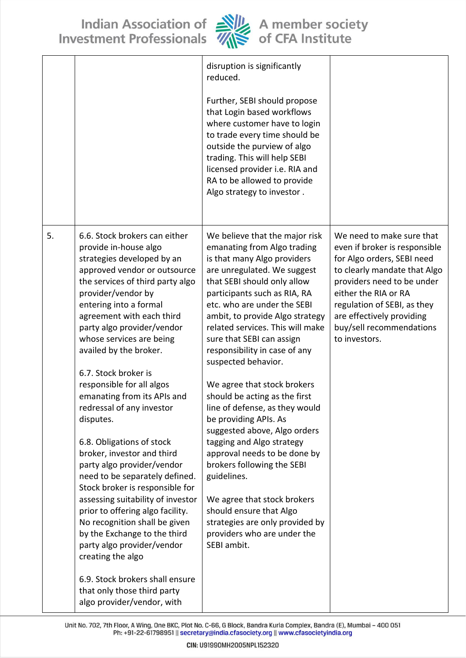

|    |                                                                                                                                                                                                                                                                                                                                                                                                                                  | ,,,                                                                                                                                                                                                                                                                                                                                                                                                                  |                                                                                                                                                                                                                                                                                         |
|----|----------------------------------------------------------------------------------------------------------------------------------------------------------------------------------------------------------------------------------------------------------------------------------------------------------------------------------------------------------------------------------------------------------------------------------|----------------------------------------------------------------------------------------------------------------------------------------------------------------------------------------------------------------------------------------------------------------------------------------------------------------------------------------------------------------------------------------------------------------------|-----------------------------------------------------------------------------------------------------------------------------------------------------------------------------------------------------------------------------------------------------------------------------------------|
|    |                                                                                                                                                                                                                                                                                                                                                                                                                                  | disruption is significantly<br>reduced.<br>Further, SEBI should propose<br>that Login based workflows<br>where customer have to login<br>to trade every time should be<br>outside the purview of algo<br>trading. This will help SEBI<br>licensed provider i.e. RIA and<br>RA to be allowed to provide<br>Algo strategy to investor.                                                                                 |                                                                                                                                                                                                                                                                                         |
| 5. | 6.6. Stock brokers can either<br>provide in-house algo<br>strategies developed by an<br>approved vendor or outsource<br>the services of third party algo<br>provider/vendor by<br>entering into a formal<br>agreement with each third<br>party algo provider/vendor<br>whose services are being<br>availed by the broker.<br>6.7. Stock broker is<br>responsible for all algos                                                   | We believe that the major risk<br>emanating from Algo trading<br>is that many Algo providers<br>are unregulated. We suggest<br>that SEBI should only allow<br>participants such as RIA, RA<br>etc. who are under the SEBI<br>ambit, to provide Algo strategy<br>related services. This will make<br>sure that SEBI can assign<br>responsibility in case of any<br>suspected behavior.<br>We agree that stock brokers | We need to make sure that<br>even if broker is responsible<br>for Algo orders, SEBI need<br>to clearly mandate that Algo<br>providers need to be under<br>either the RIA or RA<br>regulation of SEBI, as they<br>are effectively providing<br>buy/sell recommendations<br>to investors. |
|    | emanating from its APIs and<br>redressal of any investor<br>disputes.<br>6.8. Obligations of stock<br>broker, investor and third<br>party algo provider/vendor<br>need to be separately defined.<br>Stock broker is responsible for<br>assessing suitability of investor<br>prior to offering algo facility.<br>No recognition shall be given<br>by the Exchange to the third<br>party algo provider/vendor<br>creating the algo | should be acting as the first<br>line of defense, as they would<br>be providing APIs. As<br>suggested above, Algo orders<br>tagging and Algo strategy<br>approval needs to be done by<br>brokers following the SEBI<br>guidelines.<br>We agree that stock brokers<br>should ensure that Algo<br>strategies are only provided by<br>providers who are under the<br>SEBI ambit.                                        |                                                                                                                                                                                                                                                                                         |
|    | 6.9. Stock brokers shall ensure<br>that only those third party<br>algo provider/vendor, with                                                                                                                                                                                                                                                                                                                                     |                                                                                                                                                                                                                                                                                                                                                                                                                      |                                                                                                                                                                                                                                                                                         |

Unit No. 702, 7th Floor, A Wing, One BKC, Plot No. C-66, G Block, Bandra Kurla Complex, Bandra (E), Mumbai - 400 051<br>Ph: +91-22-61798951 || secretary@india.cfasociety.org || www.cfasocietyindia.org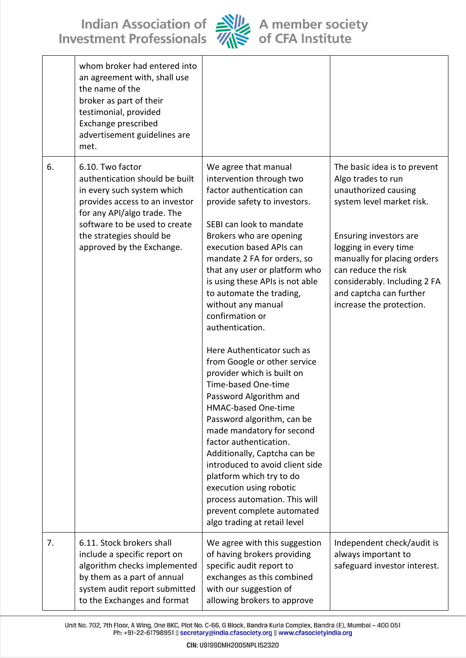

|    | whom broker had entered into<br>an agreement with, shall use<br>the name of the<br>broker as part of their<br>testimonial, provided<br>Exchange prescribed<br>advertisement guidelines are<br>met.                                          |                                                                                                                                                                                                                                                                                                                                                                                                                                                                                                                                                                                                                                                                                                                                                                                                                                                                                      |                                                                                                                                                                                                                                                                                                         |
|----|---------------------------------------------------------------------------------------------------------------------------------------------------------------------------------------------------------------------------------------------|--------------------------------------------------------------------------------------------------------------------------------------------------------------------------------------------------------------------------------------------------------------------------------------------------------------------------------------------------------------------------------------------------------------------------------------------------------------------------------------------------------------------------------------------------------------------------------------------------------------------------------------------------------------------------------------------------------------------------------------------------------------------------------------------------------------------------------------------------------------------------------------|---------------------------------------------------------------------------------------------------------------------------------------------------------------------------------------------------------------------------------------------------------------------------------------------------------|
| 6. | 6.10. Two factor<br>authentication should be built<br>in every such system which<br>provides access to an investor<br>for any API/algo trade. The<br>software to be used to create<br>the strategies should be<br>approved by the Exchange. | We agree that manual<br>intervention through two<br>factor authentication can<br>provide safety to investors.<br>SEBI can look to mandate<br>Brokers who are opening<br>execution based APIs can<br>mandate 2 FA for orders, so<br>that any user or platform who<br>is using these APIs is not able<br>to automate the trading,<br>without any manual<br>confirmation or<br>authentication.<br>Here Authenticator such as<br>from Google or other service<br>provider which is built on<br>Time-based One-time<br>Password Algorithm and<br><b>HMAC-based One-time</b><br>Password algorithm, can be<br>made mandatory for second<br>factor authentication.<br>Additionally, Captcha can be<br>introduced to avoid client side<br>platform which try to do<br>execution using robotic<br>process automation. This will<br>prevent complete automated<br>algo trading at retail level | The basic idea is to prevent<br>Algo trades to run<br>unauthorized causing<br>system level market risk.<br>Ensuring investors are<br>logging in every time<br>manually for placing orders<br>can reduce the risk<br>considerably. Including 2 FA<br>and captcha can further<br>increase the protection. |
| 7. | 6.11. Stock brokers shall<br>include a specific report on<br>algorithm checks implemented<br>by them as a part of annual<br>system audit report submitted<br>to the Exchanges and format                                                    | We agree with this suggestion<br>of having brokers providing<br>specific audit report to<br>exchanges as this combined<br>with our suggestion of<br>allowing brokers to approve                                                                                                                                                                                                                                                                                                                                                                                                                                                                                                                                                                                                                                                                                                      | Independent check/audit is<br>always important to<br>safeguard investor interest.                                                                                                                                                                                                                       |

Unit No. 702, 7th Floor, A Wing, One BKC, Plot No. C-66, G Block, Bandra Kurla Complex, Bandra (E), Mumbai - 400 051<br>Ph: +91-22-61798951 || secretary@india.cfasociety.org || www.cfasocietyindia.org